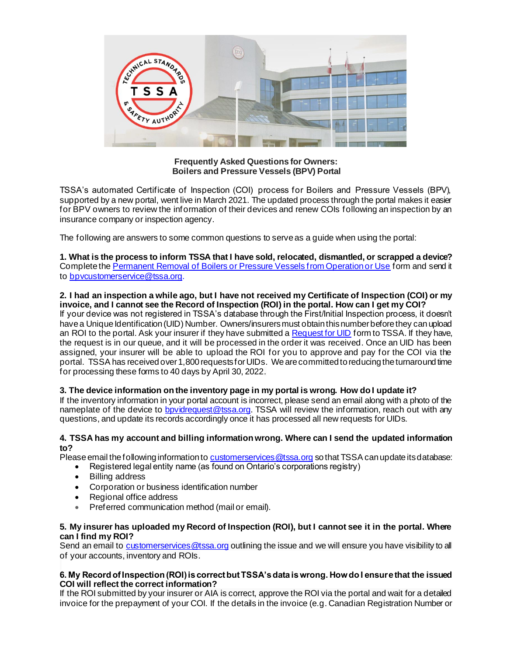

**Frequently Asked Questions for Owners: Boilers and Pressure Vessels (BPV) Portal**

TSSA's automated Certificate of Inspection (COI) process for Boilers and Pressure Vessels (BPV), supported by a new portal, went live in March 2021. The updated process through the portal makes it easier for BPV owners to review the information of their devices and renew COIs following an inspection by an insurance company or inspection agency.

The following are answers to some common questions to serve as a guide when using the portal:

**1. What is the process to inform TSSA that I have sold, relocated, dismantled, or scrapped a device?** Complete the [Permanent Removal of Boilers or Pressure Vessels from Operation or Use](https://www.tssa.org/en/boilers-pressure-vessels/resources/Documents/PV-09364-Fill-and-Save-07.17.pdf) form and send it to [bpvcustomerservice@tssa.org](mailto:bpvcustomerservice@tssa.org).

### **2. I had an inspection a while ago, but I have not received my Certificate of Inspection (COI) or my invoice, and I cannot see the Record of Inspection (ROI) in the portal. How can I get my COI?**

If your device was not registered in TSSA's database through the First/Initial Inspection process, it doesn't have a Unique Identification (UID) Number. Owners/insurers must obtain this number before they can upload an ROI to the portal. Ask your insurer if they have submitted a [Request for UID](https://www.tssa.org/en/boilers-pressure-vessels/resources/Form_Request-for-or-Update-to-a-TSSA-UID_v5final.pdf) form to TSSA. If they have, the request is in our queue, and it will be processed in the order it was received. Once an UID has been assigned, your insurer will be able to upload the ROI for you to approve and pay for the COI via the portal. TSSA has received over 1,800 requests for UIDs. We are committed to reducing the turnaround time for processing these forms to 40 days by April 30, 2022.

## **3. The device information on the inventory page in my portal is wrong. How do I update it?**

If the inventory information in your portal account is incorrect, please send an email along with a photo of the nameplate of the device to **bpvidrequest**@tssa.org. TSSA will review the information, reach out with any questions, and update its records accordingly once it has processed all new requests for UIDs.

#### **4. TSSA has my account and billing information wrong. Where can I send the updated information to?**

Please email the following information to customerservices @tssa.org so that TSSA can update its database:

- Registered legal entity name (as found on Ontario's corporations registry)
- **Billing address**
- Corporation or business identification number
- Regional office address
- Preferred communication method (mail or email).

### **5. My insurer has uploaded my Record of Inspection (ROI), but I cannot see it in the portal. Where can I find my ROI?**

Send an email to customerservices @tssa.org outlining the issue and we will ensure you have visibility to all of your accounts, inventory and ROIs.

### **6. My Record of Inspection (ROI) is correct but TSSA's data is wrong. How do I ensure that the issued COI will reflect the correct information?**

If the ROI submitted by your insurer or AIA is correct, approve the ROI via the portal and wait for a detailed invoice for the prepayment of your COI. If the details in the invoice (e.g. Canadian Registration Number or